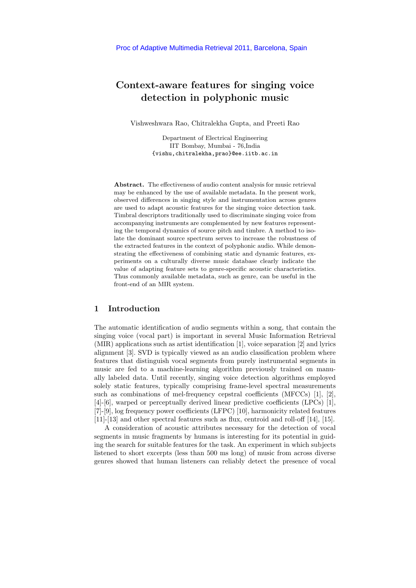Vishweshwara Rao, Chitralekha Gupta, and Preeti Rao

Department of Electrical Engineering IIT Bombay, Mumbai - 76,India {vishu,chitralekha,prao}@ee.iitb.ac.in

Abstract. The effectiveness of audio content analysis for music retrieval may be enhanced by the use of available metadata. In the present work, observed differences in singing style and instrumentation across genres are used to adapt acoustic features for the singing voice detection task. Timbral descriptors traditionally used to discriminate singing voice from accompanying instruments are complemented by new features representing the temporal dynamics of source pitch and timbre. A method to isolate the dominant source spectrum serves to increase the robustness of the extracted features in the context of polyphonic audio. While demonstrating the effectiveness of combining static and dynamic features, experiments on a culturally diverse music database clearly indicate the value of adapting feature sets to genre-specific acoustic characteristics. Thus commonly available metadata, such as genre, can be useful in the front-end of an MIR system.

# 1 Introduction

The automatic identification of audio segments within a song, that contain the singing voice (vocal part) is important in several Music Information Retrieval (MIR) applications such as artist identification [1], voice separation [2] and lyrics alignment [3]. SVD is typically viewed as an audio classification problem where features that distinguish vocal segments from purely instrumental segments in music are fed to a machine-learning algorithm previously trained on manually labeled data. Until recently, singing voice detection algorithms employed solely static features, typically comprising frame-level spectral measurements such as combinations of mel-frequency cepstral coefficients (MFCCs) [1], [2], [4]-[6], warped or perceptually derived linear predictive coefficients (LPCs) [1], [7]-[9], log frequency power coefficients (LFPC) [10], harmonicity related features [11]-[13] and other spectral features such as flux, centroid and roll-off [14], [15].

A consideration of acoustic attributes necessary for the detection of vocal segments in music fragments by humans is interesting for its potential in guiding the search for suitable features for the task. An experiment in which subjects listened to short excerpts (less than 500 ms long) of music from across diverse genres showed that human listeners can reliably detect the presence of vocal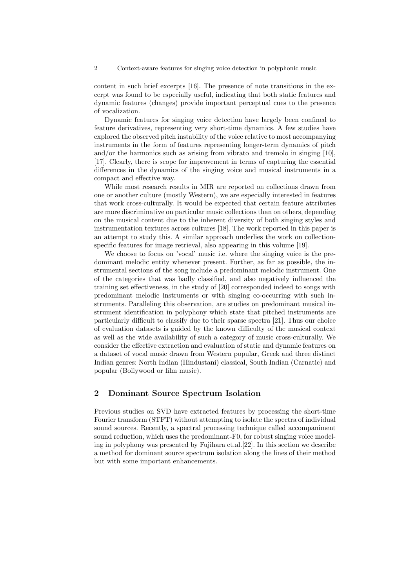content in such brief excerpts [16]. The presence of note transitions in the excerpt was found to be especially useful, indicating that both static features and dynamic features (changes) provide important perceptual cues to the presence of vocalization.

Dynamic features for singing voice detection have largely been confined to feature derivatives, representing very short-time dynamics. A few studies have explored the observed pitch instability of the voice relative to most accompanying instruments in the form of features representing longer-term dynamics of pitch and/or the harmonics such as arising from vibrato and tremolo in singing [10], [17]. Clearly, there is scope for improvement in terms of capturing the essential differences in the dynamics of the singing voice and musical instruments in a compact and effective way.

While most research results in MIR are reported on collections drawn from one or another culture (mostly Western), we are especially interested in features that work cross-culturally. It would be expected that certain feature attributes are more discriminative on particular music collections than on others, depending on the musical content due to the inherent diversity of both singing styles and instrumentation textures across cultures [18]. The work reported in this paper is an attempt to study this. A similar approach underlies the work on collectionspecific features for image retrieval, also appearing in this volume [19].

We choose to focus on 'vocal' music i.e. where the singing voice is the predominant melodic entity whenever present. Further, as far as possible, the instrumental sections of the song include a predominant melodic instrument. One of the categories that was badly classified, and also negatively influenced the training set effectiveness, in the study of [20] corresponded indeed to songs with predominant melodic instruments or with singing co-occurring with such instruments. Paralleling this observation, are studies on predominant musical instrument identification in polyphony which state that pitched instruments are particularly difficult to classify due to their sparse spectra [21]. Thus our choice of evaluation datasets is guided by the known difficulty of the musical context as well as the wide availability of such a category of music cross-culturally. We consider the effective extraction and evaluation of static and dynamic features on a dataset of vocal music drawn from Western popular, Greek and three distinct Indian genres: North Indian (Hindustani) classical, South Indian (Carnatic) and popular (Bollywood or film music).

# 2 Dominant Source Spectrum Isolation

Previous studies on SVD have extracted features by processing the short-time Fourier transform (STFT) without attempting to isolate the spectra of individual sound sources. Recently, a spectral processing technique called accompaniment sound reduction, which uses the predominant-F0, for robust singing voice modeling in polyphony was presented by Fujihara et.al.[22]. In this section we describe a method for dominant source spectrum isolation along the lines of their method but with some important enhancements.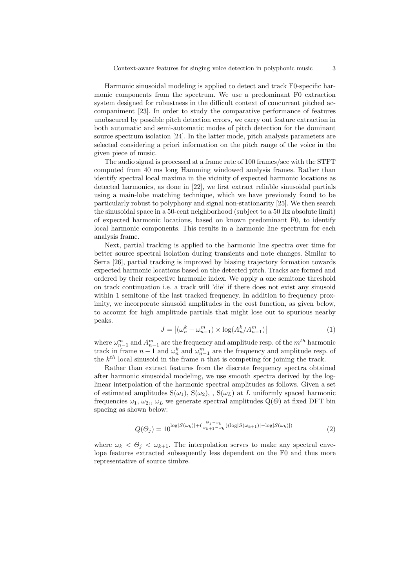Harmonic sinusoidal modeling is applied to detect and track F0-specific harmonic components from the spectrum. We use a predominant F0 extraction system designed for robustness in the difficult context of concurrent pitched accompaniment [23]. In order to study the comparative performance of features unobscured by possible pitch detection errors, we carry out feature extraction in both automatic and semi-automatic modes of pitch detection for the dominant source spectrum isolation [24]. In the latter mode, pitch analysis parameters are selected considering a priori information on the pitch range of the voice in the given piece of music.

The audio signal is processed at a frame rate of 100 frames/sec with the STFT computed from 40 ms long Hamming windowed analysis frames. Rather than identify spectral local maxima in the vicinity of expected harmonic locations as detected harmonics, as done in [22], we first extract reliable sinusoidal partials using a main-lobe matching technique, which we have previously found to be particularly robust to polyphony and signal non-stationarity [25]. We then search the sinusoidal space in a 50-cent neighborhood (subject to a 50 Hz absolute limit) of expected harmonic locations, based on known predominant F0, to identify local harmonic components. This results in a harmonic line spectrum for each analysis frame.

Next, partial tracking is applied to the harmonic line spectra over time for better source spectral isolation during transients and note changes. Similar to Serra [26], partial tracking is improved by biasing trajectory formation towards expected harmonic locations based on the detected pitch. Tracks are formed and ordered by their respective harmonic index. We apply a one semitone threshold on track continuation i.e. a track will 'die' if there does not exist any sinusoid within 1 semitone of the last tracked frequency. In addition to frequency proximity, we incorporate sinusoid amplitudes in the cost function, as given below, to account for high amplitude partials that might lose out to spurious nearby peaks.

$$
J = \left| \left( \omega_n^k - \omega_{n-1}^m \right) \times \log(A_n^k / A_{n-1}^m) \right| \tag{1}
$$

where  $\omega_{n-1}^m$  and  $A_{n-1}^m$  are the frequency and amplitude resp. of the  $m^{th}$  harmonic track in frame  $n-1$  and  $\omega_n^k$  and  $\omega_{n-1}^m$  are the frequency and amplitude resp. of the  $k^{th}$  local sinusoid in the frame n that is competing for joining the track.

Rather than extract features from the discrete frequency spectra obtained after harmonic sinusoidal modeling, we use smooth spectra derived by the loglinear interpolation of the harmonic spectral amplitudes as follows. Given a set of estimated amplitudes  $S(\omega_1)$ ,  $S(\omega_2)$ ,  $S(\omega_L)$  at L uniformly spaced harmonic frequencies  $\omega_1, \omega_2, \omega_L$  we generate spectral amplitudes  $Q(\theta)$  at fixed DFT bin spacing as shown below:

$$
Q(\Theta_j) = 10^{\log|S(\omega_k)| + (\frac{\Theta_j - \omega_k}{\omega_{k+1} - \omega_k})(\log|S(\omega_{k+1})| - \log|S(\omega_k)|)}
$$
(2)

where  $\omega_k < \Theta_j < \omega_{k+1}$ . The interpolation serves to make any spectral envelope features extracted subsequently less dependent on the F0 and thus more representative of source timbre.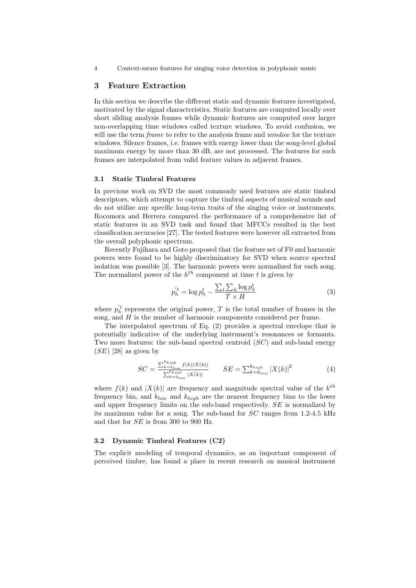## 3 Feature Extraction

In this section we describe the different static and dynamic features investigated, motivated by the signal characteristics. Static features are computed locally over short sliding analysis frames while dynamic features are computed over larger non-overlapping time windows called texture windows. To avoid confusion, we will use the term *frame* to refer to the analysis frame and *window* for the texture windows. Silence frames, i.e. frames with energy lower than the song-level global maximum energy by more than 30 dB, are not processed. The features for such frames are interpolated from valid feature values in adjacent frames.

## 3.1 Static Timbral Features

In previous work on SVD the most commonly used features are static timbral descriptors, which attempt to capture the timbral aspects of musical sounds and do not utilize any specific long-term traits of the singing voice or instruments. Rocomora and Herrera compared the performance of a comprehensive list of static features in an SVD task and found that MFCCs resulted in the best classification accuracies [27]. The tested features were however all extracted from the overall polyphonic spectrum.

Recently Fujihara and Goto proposed that the feature set of F0 and harmonic powers were found to be highly discriminatory for SVD when source spectral isolation was possible [3]. The harmonic powers were normalized for each song. The normalized power of the  $h^{th}$  component at time t is given by

$$
p_h^{'t} = \log p_h^t - \frac{\sum_t \sum_h \log p_h^t}{T \times H}
$$
\n(3)

where  $p'_{h}$  represents the original power, T is the total number of frames in the song, and  $H$  is the number of harmonic components considered per frame.

The interpolated spectrum of Eq. (2) provides a spectral envelope that is potentially indicative of the underlying instrument's resonances or formants. Two more features: the sub-band spectral centroid  $(SC)$  and sub-band energy  $(SE)$  [28] as given by

$$
SC = \frac{\sum_{k=k_{low}}^{k_{high}} f(k)|X(k)|}{\sum_{k=k_{low}}^{k_{high}} |X(k)|} \qquad SE = \sum_{k=k_{low}}^{k_{high}} |X(k)|^2 \tag{4}
$$

where  $f(k)$  and  $|X(k)|$  are frequency and magnitude spectral value of the  $k^{th}$ frequency bin, and  $k_{low}$  and  $k_{high}$  are the nearest frequency bins to the lower and upper frequency limits on the sub-band respectively. SE is normalized by its maximum value for a song. The sub-band for  $SC$  ranges from 1.2-4.5 kHz and that for SE is from 300 to 900 Hz.

## 3.2 Dynamic Timbral Features (C2)

The explicit modeling of temporal dynamics, as an important component of perceived timbre, has found a place in recent research on musical instrument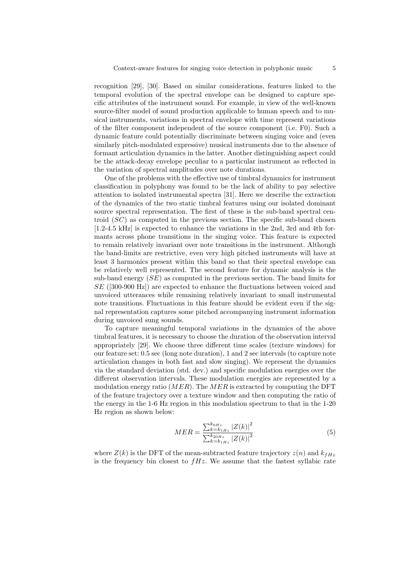recognition [29], [30]. Based on similar considerations, features linked to the temporal evolution of the spectral envelope can be designed to capture specific attributes of the instrument sound. For example, in view of the well-known source-filter model of sound production applicable to human speech and to musical instruments, variations in spectral envelope with time represent variations of the filter component independent of the source component (i.e. F0). Such a dynamic feature could potentially discriminate between singing voice and (even similarly pitch-modulated expressive) musical instruments due to the absence of formant articulation dynamics in the latter. Another distinguishing aspect could be the attack-decay envelope peculiar to a particular instrument as reflected in the variation of spectral amplitudes over note durations.

One of the problems with the effective use of timbral dynamics for instrument classification in polyphony was found to be the lack of ability to pay selective attention to isolated instrumental spectra [31]. Here we describe the extraction of the dynamics of the two static timbral features using our isolated dominant source spectral representation. The first of these is the sub-band spectral centroid  $(SC)$  as computed in the previous section. The specific sub-band chosen [1.2-4.5 kHz] is expected to enhance the variations in the 2nd, 3rd and 4th formants across phone transitions in the singing voice. This feature is expected to remain relatively invariant over note transitions in the instrument. Although the band-limits are restrictive, even very high pitched instruments will have at least 3 harmonics present within this band so that their spectral envelope can be relatively well represented. The second feature for dynamic analysis is the sub-band energy  $(SE)$  as computed in the previous section. The band limits for SE ([300-900 Hz]) are expected to enhance the fluctuations between voiced and unvoiced utterances while remaining relatively invariant to small instrumental note transitions. Fluctuations in this feature should be evident even if the signal representation captures some pitched accompanying instrument information during unvoiced sung sounds.

To capture meaningful temporal variations in the dynamics of the above timbral features, it is necessary to choose the duration of the observation interval appropriately [29]. We choose three different time scales (texture windows) for our feature set: 0.5 sec (long note duration), 1 and 2 sec intervals (to capture note articulation changes in both fast and slow singing). We represent the dynamics via the standard deviation (std. dev.) and specific modulation energies over the different observation intervals. These modulation energies are represented by a modulation energy ratio ( $MER$ ). The  $MER$  is extracted by computing the DFT of the feature trajectory over a texture window and then computing the ratio of the energy in the 1-6 Hz region in this modulation spectrum to that in the 1-20 Hz region as shown below:

$$
MER = \frac{\sum_{k=k_{1Hz}}^{k_{6Hz}} |Z(k)|^2}{\sum_{k=k_{1Hz}}^{k_{20Hz}} |Z(k)|^2}
$$
(5)

where  $Z(k)$  is the DFT of the mean-subtracted feature trajectory  $z(n)$  and  $k_{fHz}$ is the frequency bin closest to  $fHz$ . We assume that the fastest syllabic rate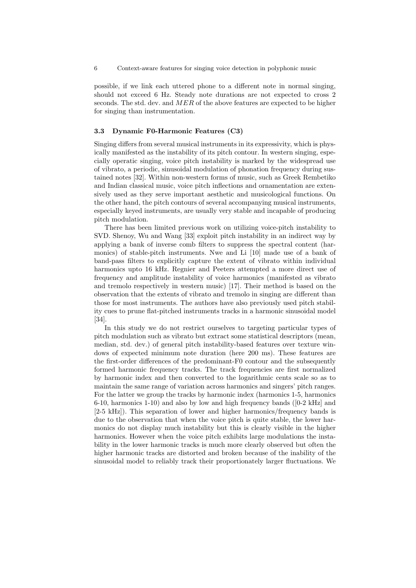possible, if we link each uttered phone to a different note in normal singing, should not exceed 6 Hz. Steady note durations are not expected to cross 2 seconds. The std. dev. and  $MER$  of the above features are expected to be higher for singing than instrumentation.

#### 3.3 Dynamic F0-Harmonic Features (C3)

Singing differs from several musical instruments in its expressivity, which is physically manifested as the instability of its pitch contour. In western singing, especially operatic singing, voice pitch instability is marked by the widespread use of vibrato, a periodic, sinusoidal modulation of phonation frequency during sustained notes [32]. Within non-western forms of music, such as Greek Rembetiko and Indian classical music, voice pitch inflections and ornamentation are extensively used as they serve important aesthetic and musicological functions. On the other hand, the pitch contours of several accompanying musical instruments, especially keyed instruments, are usually very stable and incapable of producing pitch modulation.

There has been limited previous work on utilizing voice-pitch instability to SVD. Shenoy, Wu and Wang [33] exploit pitch instability in an indirect way by applying a bank of inverse comb filters to suppress the spectral content (harmonics) of stable-pitch instruments. Nwe and Li [10] made use of a bank of band-pass filters to explicitly capture the extent of vibrato within individual harmonics upto 16 kHz. Regnier and Peeters attempted a more direct use of frequency and amplitude instability of voice harmonics (manifested as vibrato and tremolo respectively in western music) [17]. Their method is based on the observation that the extents of vibrato and tremolo in singing are different than those for most instruments. The authors have also previously used pitch stability cues to prune flat-pitched instruments tracks in a harmonic sinusoidal model [34].

In this study we do not restrict ourselves to targeting particular types of pitch modulation such as vibrato but extract some statistical descriptors (mean, median, std. dev.) of general pitch instability-based features over texture windows of expected minimum note duration (here 200 ms). These features are the first-order differences of the predominant-F0 contour and the subsequently formed harmonic frequency tracks. The track frequencies are first normalized by harmonic index and then converted to the logarithmic cents scale so as to maintain the same range of variation across harmonics and singers' pitch ranges. For the latter we group the tracks by harmonic index (harmonics 1-5, harmonics 6-10, harmonics 1-10) and also by low and high frequency bands ( $[0-2 \text{ kHz}]$  and [2-5 kHz]). This separation of lower and higher harmonics/frequency bands is due to the observation that when the voice pitch is quite stable, the lower harmonics do not display much instability but this is clearly visible in the higher harmonics. However when the voice pitch exhibits large modulations the instability in the lower harmonic tracks is much more clearly observed but often the higher harmonic tracks are distorted and broken because of the inability of the sinusoidal model to reliably track their proportionately larger fluctuations. We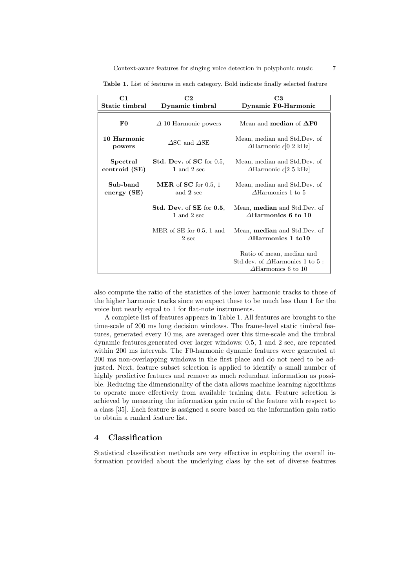| C1                        | C <sub>2</sub>                                                                                                                     | C <sub>3</sub>                                                                                    |  |
|---------------------------|------------------------------------------------------------------------------------------------------------------------------------|---------------------------------------------------------------------------------------------------|--|
| Static timbral            | Dynamic timbral                                                                                                                    | Dynamic F0-Harmonic                                                                               |  |
| F <sub>0</sub>            | $\Delta$ 10 Harmonic powers                                                                                                        | Mean and <b>median</b> of $\Delta F0$                                                             |  |
| 10 Harmonic<br>powers     | $\Delta$ SC and $\Delta$ SE                                                                                                        | Mean, median and Std.Dev. of<br>$\Delta$ Harmonic $\epsilon$ [0 2 kHz]                            |  |
| Spectral<br>centroid (SE) | Mean, median and Std.Dev. of<br><b>Std. Dev.</b> of <b>SC</b> for $0.5$ ,<br>1 and 2 sec<br>$\Delta$ Harmonic $\epsilon$ [2 5 kHz] |                                                                                                   |  |
| Sub-band<br>energy $(SE)$ | MER of SC for $0.5, 1$<br>and $2 \text{ sec}$                                                                                      | Mean, median and Std.Dev. of<br>$\Delta$ Harmonics 1 to 5                                         |  |
|                           | Std. Dev. of SE for 0.5,<br>1 and 2 sec                                                                                            | Mean, median and Std.Dev. of<br>$\Delta$ Harmonics 6 to 10                                        |  |
|                           | MER of SE for $0.5$ , 1 and<br>2 sec                                                                                               | Mean, median and Std.Dev. of<br>$\Delta$ Harmonics 1 to10                                         |  |
|                           |                                                                                                                                    | Ratio of mean, median and<br>Std.dev. of $\Delta$ Harmonics 1 to 5:<br>$\Delta$ Harmonics 6 to 10 |  |

Table 1. List of features in each category. Bold indicate finally selected feature

also compute the ratio of the statistics of the lower harmonic tracks to those of the higher harmonic tracks since we expect these to be much less than 1 for the voice but nearly equal to 1 for flat-note instruments.

A complete list of features appears in Table 1. All features are brought to the time-scale of 200 ms long decision windows. The frame-level static timbral features, generated every 10 ms, are averaged over this time-scale and the timbral dynamic features,generated over larger windows: 0.5, 1 and 2 sec, are repeated within 200 ms intervals. The F0-harmonic dynamic features were generated at 200 ms non-overlapping windows in the first place and do not need to be adjusted. Next, feature subset selection is applied to identify a small number of highly predictive features and remove as much redundant information as possible. Reducing the dimensionality of the data allows machine learning algorithms to operate more effectively from available training data. Feature selection is achieved by measuring the information gain ratio of the feature with respect to a class [35]. Each feature is assigned a score based on the information gain ratio to obtain a ranked feature list.

## 4 Classification

Statistical classification methods are very effective in exploiting the overall information provided about the underlying class by the set of diverse features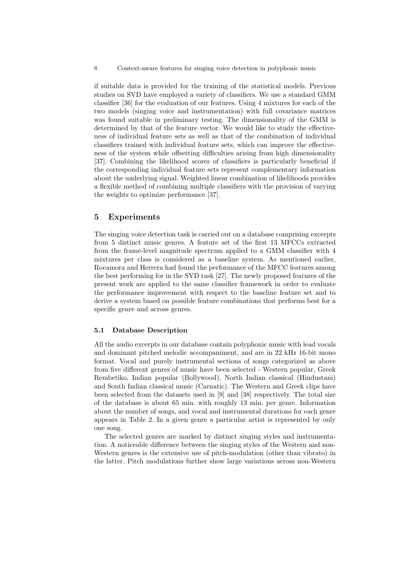if suitable data is provided for the training of the statistical models. Previous studies on SVD have employed a variety of classifiers. We use a standard GMM classifier [36] for the evaluation of our features. Using 4 mixtures for each of the two models (singing voice and instrumentation) with full covariance matrices was found suitable in preliminary testing. The dimensionality of the GMM is determined by that of the feature vector. We would like to study the effectiveness of individual feature sets as well as that of the combination of individual classifiers trained with individual feature sets, which can improve the effectiveness of the system while offsetting difficulties arising from high dimensionality [37]. Combining the likelihood scores of classifiers is particularly beneficial if the corresponding individual feature sets represent complementary information about the underlying signal. Weighted linear combination of likelihoods provides a flexible method of combining multiple classifiers with the provision of varying the weights to optimize performance [37].

# 5 Experiments

The singing voice detection task is carried out on a database comprising excerpts from 5 distinct music genres. A feature set of the first 13 MFCCs extracted from the frame-level magnitude spectrum applied to a GMM classifier with 4 mixtures per class is considered as a baseline system. As mentioned earlier, Rocamora and Herrera had found the performance of the MFCC features among the best performing for in the SVD task [27]. The newly proposed features of the present work are applied to the same classifier framework in order to evaluate the performance improvement with respect to the baseline feature set and to derive a system based on possible feature combinations that performs best for a specific genre and across genres.

#### 5.1 Database Description

All the audio excerpts in our database contain polyphonic music with lead vocals and dominant pitched melodic accompaniment, and are in 22 kHz 16-bit mono format. Vocal and purely instrumental sections of songs categorized as above from five different genres of music have been selected - Western popular, Greek Rembetiko, Indian popular (Bollywood), North Indian classical (Hindustani) and South Indian classical music (Carnatic). The Western and Greek clips have been selected from the datasets used in [9] and [38] respectively. The total size of the database is about 65 min. with roughly 13 min. per genre. Information about the number of songs, and vocal and instrumental durations for each genre appears in Table 2. In a given genre a particular artist is represented by only one song.

The selected genres are marked by distinct singing styles and instrumentation. A noticeable difference between the singing styles of the Western and non-Western genres is the extensive use of pitch-modulation (other than vibrato) in the latter. Pitch modulations further show large variations across non-Western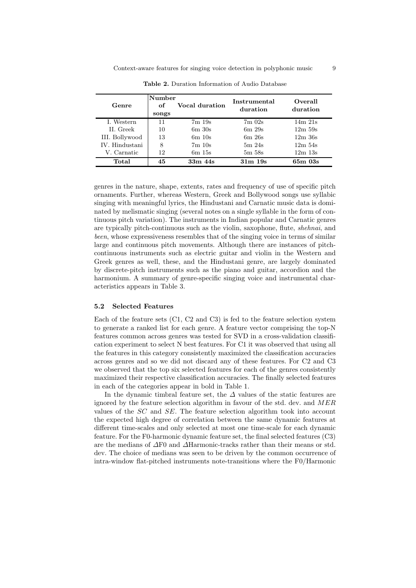| Genre          | Number<br>of<br>songs | Vocal duration | Instrumental<br>duration | Overall<br>duration |  |
|----------------|-----------------------|----------------|--------------------------|---------------------|--|
| L. Western     | 11                    | $7m$ 19 $s$    | $7m$ 02s                 | $14m$ $21s$         |  |
| II. Greek      | 10                    | $6m$ 30s       | 6m29s                    | $12m$ 59s           |  |
| III. Bollywood | 13                    | $6m$ 10s       | 6m26s                    | $12m$ 36s           |  |
| IV. Hindustani | 8                     | $7m$ 10s       | 5m24s                    | $12m$ 54s           |  |
| V. Carnatic    | 12                    | $6m$ 15s       | 5m 58s                   | $12m$ $13s$         |  |
| Total          | 45                    | $33m$ 44s      | $31m$ 19s                | $65m$ $03s$         |  |

Table 2. Duration Information of Audio Database

genres in the nature, shape, extents, rates and frequency of use of specific pitch ornaments. Further, whereas Western, Greek and Bollywood songs use syllabic singing with meaningful lyrics, the Hindustani and Carnatic music data is dominated by melismatic singing (several notes on a single syllable in the form of continuous pitch variation). The instruments in Indian popular and Carnatic genres are typically pitch-continuous such as the violin, saxophone, flute, shehnai, and been, whose expressiveness resembles that of the singing voice in terms of similar large and continuous pitch movements. Although there are instances of pitchcontinuous instruments such as electric guitar and violin in the Western and Greek genres as well, these, and the Hindustani genre, are largely dominated by discrete-pitch instruments such as the piano and guitar, accordion and the harmonium. A summary of genre-specific singing voice and instrumental characteristics appears in Table 3.

#### 5.2 Selected Features

Each of the feature sets (C1, C2 and C3) is fed to the feature selection system to generate a ranked list for each genre. A feature vector comprising the top-N features common across genres was tested for SVD in a cross-validation classification experiment to select N best features. For C1 it was observed that using all the features in this category consistently maximized the classification accuracies across genres and so we did not discard any of these features. For C2 and C3 we observed that the top six selected features for each of the genres consistently maximized their respective classification accuracies. The finally selected features in each of the categories appear in bold in Table 1.

In the dynamic timbral feature set, the  $\Delta$  values of the static features are ignored by the feature selection algorithm in favour of the std. dev. and  $MER$ values of the SC and SE. The feature selection algorithm took into account the expected high degree of correlation between the same dynamic features at different time-scales and only selected at most one time-scale for each dynamic feature. For the F0-harmonic dynamic feature set, the final selected features (C3) are the medians of  $\Delta$ F0 and  $\Delta$ Harmonic-tracks rather than their means or std. dev. The choice of medians was seen to be driven by the common occurrence of intra-window flat-pitched instruments note-transitions where the F0/Harmonic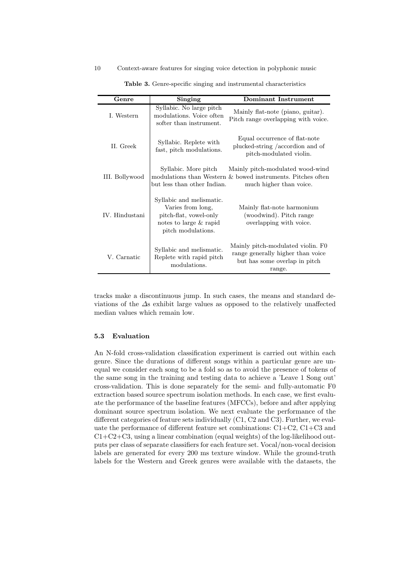| Genre          | Singing                                                                                                                 | <b>Dominant Instrument</b>                                                                                                 |  |  |
|----------------|-------------------------------------------------------------------------------------------------------------------------|----------------------------------------------------------------------------------------------------------------------------|--|--|
| I. Western     | Syllabic. No large pitch<br>modulations. Voice often<br>softer than instrument.                                         | Mainly flat-note (piano, guitar).<br>Pitch range overlapping with voice.                                                   |  |  |
| II. Greek      | Syllabic. Replete with<br>fast, pitch modulations.                                                                      | Equal occurrence of flat-note<br>plucked-string /accordion and of<br>pitch-modulated violin.                               |  |  |
| III. Bollywood | Syllabic. More pitch<br>but less than other Indian.                                                                     | Mainly pitch-modulated wood-wind<br>modulations than Western & bowed instruments. Pitches often<br>much higher than voice. |  |  |
| IV. Hindustani | Syllabic and melismatic.<br>Varies from long,<br>pitch-flat, vowel-only<br>notes to large & rapid<br>pitch modulations. | Mainly flat-note harmonium<br>(woodwind). Pitch range<br>overlapping with voice.                                           |  |  |
| V. Carnatic    | Syllabic and melismatic.<br>Replete with rapid pitch<br>modulations.                                                    | Mainly pitch-modulated violin. F0<br>range generally higher than voice<br>but has some overlap in pitch<br>range.          |  |  |

Table 3. Genre-specific singing and instrumental characteristics

tracks make a discontinuous jump. In such cases, the means and standard deviations of the ∆s exhibit large values as opposed to the relatively unaffected median values which remain low.

## 5.3 Evaluation

An N-fold cross-validation classification experiment is carried out within each genre. Since the durations of different songs within a particular genre are unequal we consider each song to be a fold so as to avoid the presence of tokens of the same song in the training and testing data to achieve a 'Leave 1 Song out' cross-validation. This is done separately for the semi- and fully-automatic F0 extraction based source spectrum isolation methods. In each case, we first evaluate the performance of the baseline features (MFCCs), before and after applying dominant source spectrum isolation. We next evaluate the performance of the different categories of feature sets individually (C1, C2 and C3). Further, we evaluate the performance of different feature set combinations:  $C1+C2$ ,  $C1+C3$  and  $C1+C2+C3$ , using a linear combination (equal weights) of the log-likelihood outputs per class of separate classifiers for each feature set. Vocal/non-vocal decision labels are generated for every 200 ms texture window. While the ground-truth labels for the Western and Greek genres were available with the datasets, the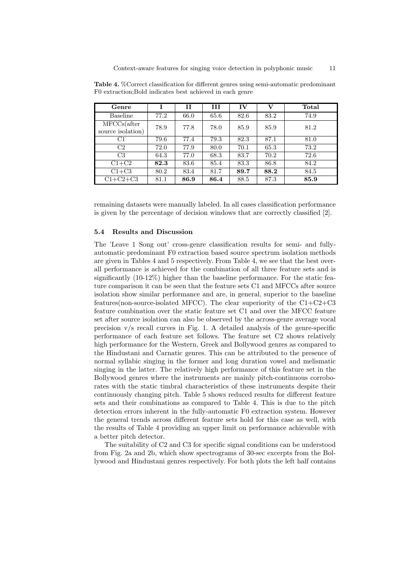| Genre                            |      | Н    | ш    | IV   | v    | Total |
|----------------------------------|------|------|------|------|------|-------|
| Baseline                         | 77.2 | 66.0 | 65.6 | 82.6 | 83.2 | 74.9  |
| MFCCs(after<br>source isolation) | 78.9 | 77.8 | 78.0 | 85.9 | 85.9 | 81.2  |
| $_{\rm C1}$                      | 79.6 | 77.4 | 79.3 | 82.3 | 87.1 | 81.0  |
| C2                               | 72.0 | 77.9 | 80.0 | 70.1 | 65.3 | 73.2  |
| C <sub>3</sub>                   | 64.3 | 77.0 | 68.3 | 83.7 | 70.2 | 72.6  |
| $C1+C2$                          | 82.3 | 83.6 | 85.4 | 83.3 | 86.8 | 84.2  |
| $C1+C3$                          | 80.2 | 83.4 | 81.7 | 89.7 | 88.2 | 84.5  |
| $C1+C2+C3$                       | 81.1 | 86.9 | 86.4 | 88.5 | 87.3 | 85.9  |

Table 4. %Correct classification for different genres using semi-automatic predominant F0 extraction;Bold indicates best achieved in each genre

remaining datasets were manually labeled. In all cases classification performance is given by the percentage of decision windows that are correctly classified [2].

#### 5.4 Results and Discussion

The 'Leave 1 Song out' cross-genre classification results for semi- and fullyautomatic predominant F0 extraction based source spectrum isolation methods are given in Tables 4 and 5 respectively. From Table 4, we see that the best overall performance is achieved for the combination of all three feature sets and is significantly (10-12%) higher than the baseline performance. For the static feature comparison it can be seen that the feature sets C1 and MFCCs after source isolation show similar performance and are, in general, superior to the baseline features(non-source-isolated MFCC). The clear superiority of the  $C1+C2+C3$ feature combination over the static feature set C1 and over the MFCC feature set after source isolation can also be observed by the across-genre average vocal precision v/s recall curves in Fig. 1. A detailed analysis of the genre-specific performance of each feature set follows. The feature set C2 shows relatively high performance for the Western, Greek and Bollywood genres as compared to the Hindustani and Carnatic genres. This can be attributed to the presence of normal syllabic singing in the former and long duration vowel and melismatic singing in the latter. The relatively high performance of this feature set in the Bollywood genres where the instruments are mainly pitch-continuous corroborates with the static timbral characteristics of these instruments despite their continuously changing pitch. Table 5 shows reduced results for different feature sets and their combinations as compared to Table 4. This is due to the pitch detection errors inherent in the fully-automatic F0 extraction system. However the general trends across different feature sets hold for this case as well, with the results of Table 4 providing an upper limit on performance achievable with a better pitch detector.

The suitability of C2 and C3 for specific signal conditions can be understood from Fig. 2a and 2b, which show spectrograms of 30-sec excerpts from the Bollywood and Hindustani genres respectively. For both plots the left half contains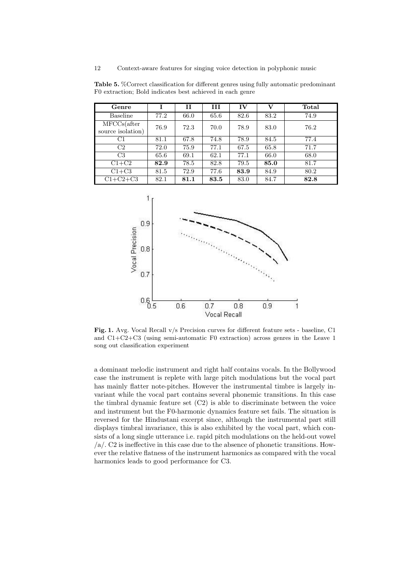| Genre                                                        |      | Н    | ш    | IV   | v    | Total |
|--------------------------------------------------------------|------|------|------|------|------|-------|
| <b>Baseline</b>                                              | 77.2 | 66.0 | 65.6 | 82.6 | 83.2 | 74.9  |
| $\overline{\text{MFCCs}(\text{after})}$<br>source isolation) | 76.9 | 72.3 | 70.0 | 78.9 | 83.0 | 76.2  |
| C1                                                           | 81.1 | 67.8 | 74.8 | 78.9 | 84.5 | 77.4  |
| C2                                                           | 72.0 | 75.9 | 77.1 | 67.5 | 65.8 | 71.7  |
| C <sub>3</sub>                                               | 65.6 | 69.1 | 62.1 | 77.1 | 66.0 | 68.0  |
| $C1+C2$                                                      | 82.9 | 78.5 | 82.8 | 79.5 | 85.0 | 81.7  |
| $C1+C3$                                                      | 81.5 | 72.9 | 77.6 | 83.9 | 84.9 | 80.2  |
| $C1+C2+C3$                                                   | 82.1 | 81.1 | 83.5 | 83.0 | 84.7 | 82.8  |

Table 5. %Correct classification for different genres using fully automatic predominant F0 extraction; Bold indicates best achieved in each genre



Fig. 1. Avg. Vocal Recall  $v/s$  Precision curves for different feature sets - baseline, C1 and C1+C2+C3 (using semi-automatic F0 extraction) across genres in the Leave 1 song out classification experiment

a dominant melodic instrument and right half contains vocals. In the Bollywood case the instrument is replete with large pitch modulations but the vocal part has mainly flatter note-pitches. However the instrumental timbre is largely invariant while the vocal part contains several phonemic transitions. In this case the timbral dynamic feature set (C2) is able to discriminate between the voice and instrument but the F0-harmonic dynamics feature set fails. The situation is reversed for the Hindustani excerpt since, although the instrumental part still displays timbral invariance, this is also exhibited by the vocal part, which consists of a long single utterance i.e. rapid pitch modulations on the held-out vowel /a/. C2 is ineffective in this case due to the absence of phonetic transitions. However the relative flatness of the instrument harmonics as compared with the vocal harmonics leads to good performance for C3.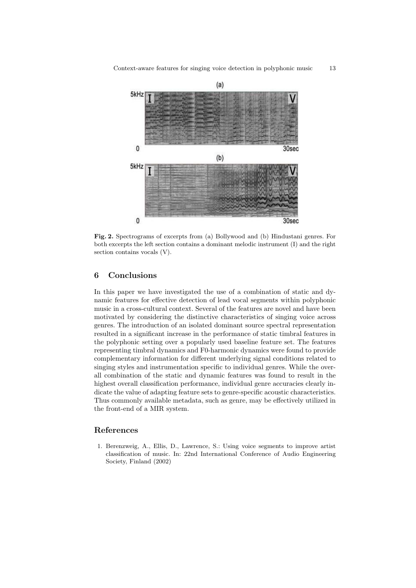

Fig. 2. Spectrograms of excerpts from (a) Bollywood and (b) Hindustani genres. For both excerpts the left section contains a dominant melodic instrument (I) and the right section contains vocals (V).

# 6 Conclusions

In this paper we have investigated the use of a combination of static and dynamic features for effective detection of lead vocal segments within polyphonic music in a cross-cultural context. Several of the features are novel and have been motivated by considering the distinctive characteristics of singing voice across genres. The introduction of an isolated dominant source spectral representation resulted in a significant increase in the performance of static timbral features in the polyphonic setting over a popularly used baseline feature set. The features representing timbral dynamics and F0-harmonic dynamics were found to provide complementary information for different underlying signal conditions related to singing styles and instrumentation specific to individual genres. While the overall combination of the static and dynamic features was found to result in the highest overall classification performance, individual genre accuracies clearly indicate the value of adapting feature sets to genre-specific acoustic characteristics. Thus commonly available metadata, such as genre, may be effectively utilized in the front-end of a MIR system.

# References

1. Berenzweig, A., Ellis, D., Lawrence, S.: Using voice segments to improve artist classification of music. In: 22nd International Conference of Audio Engineering Society, Finland (2002)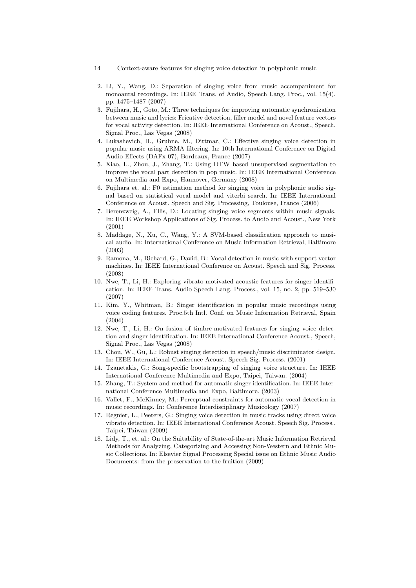- 14 Context-aware features for singing voice detection in polyphonic music
- 2. Li, Y., Wang, D.: Separation of singing voice from music accompaniment for monoaural recordings. In: IEEE Trans. of Audio, Speech Lang. Proc., vol. 15(4), pp. 1475–1487 (2007)
- 3. Fujihara, H., Goto, M.: Three techniques for improving automatic synchronization between music and lyrics: Fricative detection, filler model and novel feature vectors for vocal activity detection. In: IEEE International Conference on Acoust., Speech, Signal Proc., Las Vegas (2008)
- 4. Lukashevich, H., Gruhne, M., Dittmar, C.: Effective singing voice detection in popular music using ARMA filtering. In: 10th International Conference on Digital Audio Effects (DAFx-07), Bordeaux, France (2007)
- 5. Xiao, L., Zhou, J., Zhang, T.: Using DTW based unsupervised segmentation to improve the vocal part detection in pop music. In: IEEE International Conference on Multimedia and Expo, Hannover, Germany (2008)
- 6. Fujihara et. al.: F0 estimation method for singing voice in polyphonic audio signal based on statistical vocal model and viterbi search. In: IEEE International Conference on Acoust. Speech and Sig. Processing, Toulouse, France (2006)
- 7. Berenzweig, A., Ellis, D.: Locating singing voice segments within music signals. In: IEEE Workshop Applications of Sig. Process. to Audio and Acoust., New York (2001)
- 8. Maddage, N., Xu, C., Wang, Y.: A SVM-based classification approach to musical audio. In: International Conference on Music Information Retrieval, Baltimore (2003)
- 9. Ramona, M., Richard, G., David, B.: Vocal detection in music with support vector machines. In: IEEE International Conference on Acoust. Speech and Sig. Process. (2008)
- 10. Nwe, T., Li, H.: Exploring vibrato-motivated acoustic features for singer identification. In: IEEE Trans. Audio Speech Lang. Process., vol. 15, no. 2, pp. 519–530 (2007)
- 11. Kim, Y., Whitman, B.: Singer identification in popular music recordings using voice coding features. Proc.5th Intl. Conf. on Music Information Retrieval, Spain (2004)
- 12. Nwe, T., Li, H.: On fusion of timbre-motivated features for singing voice detection and singer identification. In: IEEE International Conference Acoust., Speech, Signal Proc., Las Vegas (2008)
- 13. Chou, W., Gu, L.: Robust singing detection in speech/music discriminator design. In: IEEE International Conference Acoust. Speech Sig. Process. (2001)
- 14. Tzanetakis, G.: Song-specific bootstrapping of singing voice structure. In: IEEE International Conference Multimedia and Expo, Taipei, Taiwan. (2004)
- 15. Zhang, T.: System and method for automatic singer identification. In: IEEE International Conference Multimedia and Expo, Baltimore. (2003)
- 16. Vallet, F., McKinney, M.: Perceptual constraints for automatic vocal detection in music recordings. In: Conference Interdisciplinary Musicology (2007)
- 17. Regnier, L., Peeters, G.: Singing voice detection in music tracks using direct voice vibrato detection. In: IEEE International Conference Acoust. Speech Sig. Process., Taipei, Taiwan (2009)
- 18. Lidy, T., et. al.: On the Suitability of State-of-the-art Music Information Retrieval Methods for Analyzing, Categorizing and Accessing Non-Western and Ethnic Music Collections. In: Elsevier Signal Processing Special issue on Ethnic Music Audio Documents: from the preservation to the fruition (2009)